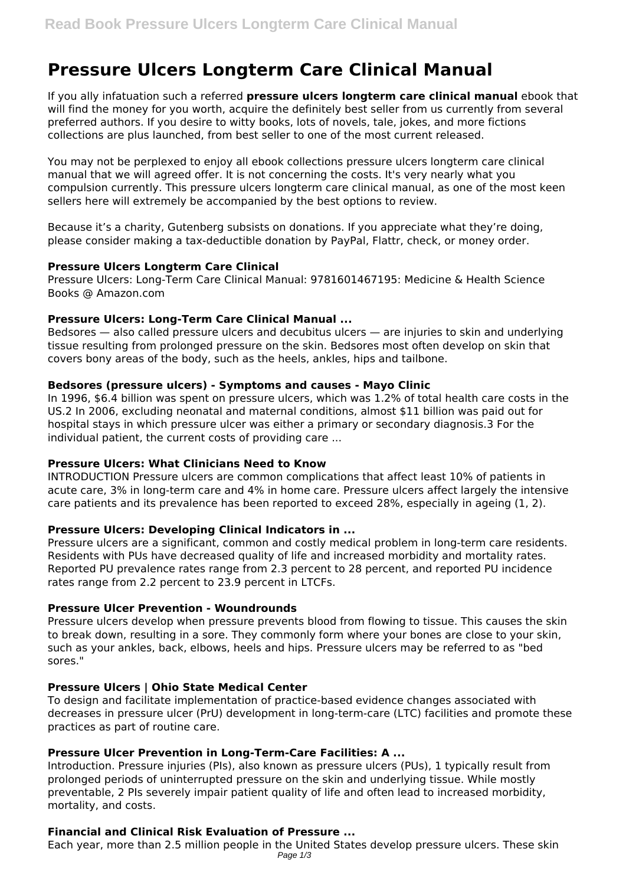# **Pressure Ulcers Longterm Care Clinical Manual**

If you ally infatuation such a referred **pressure ulcers longterm care clinical manual** ebook that will find the money for you worth, acquire the definitely best seller from us currently from several preferred authors. If you desire to witty books, lots of novels, tale, jokes, and more fictions collections are plus launched, from best seller to one of the most current released.

You may not be perplexed to enjoy all ebook collections pressure ulcers longterm care clinical manual that we will agreed offer. It is not concerning the costs. It's very nearly what you compulsion currently. This pressure ulcers longterm care clinical manual, as one of the most keen sellers here will extremely be accompanied by the best options to review.

Because it's a charity, Gutenberg subsists on donations. If you appreciate what they're doing, please consider making a tax-deductible donation by PayPal, Flattr, check, or money order.

### **Pressure Ulcers Longterm Care Clinical**

Pressure Ulcers: Long-Term Care Clinical Manual: 9781601467195: Medicine & Health Science Books @ Amazon.com

# **Pressure Ulcers: Long-Term Care Clinical Manual ...**

Bedsores — also called pressure ulcers and decubitus ulcers — are injuries to skin and underlying tissue resulting from prolonged pressure on the skin. Bedsores most often develop on skin that covers bony areas of the body, such as the heels, ankles, hips and tailbone.

### **Bedsores (pressure ulcers) - Symptoms and causes - Mayo Clinic**

In 1996, \$6.4 billion was spent on pressure ulcers, which was 1.2% of total health care costs in the US.2 In 2006, excluding neonatal and maternal conditions, almost \$11 billion was paid out for hospital stays in which pressure ulcer was either a primary or secondary diagnosis.3 For the individual patient, the current costs of providing care ...

#### **Pressure Ulcers: What Clinicians Need to Know**

INTRODUCTION Pressure ulcers are common complications that affect least 10% of patients in acute care, 3% in long-term care and 4% in home care. Pressure ulcers affect largely the intensive care patients and its prevalence has been reported to exceed 28%, especially in ageing (1, 2).

# **Pressure Ulcers: Developing Clinical Indicators in ...**

Pressure ulcers are a significant, common and costly medical problem in long-term care residents. Residents with PUs have decreased quality of life and increased morbidity and mortality rates. Reported PU prevalence rates range from 2.3 percent to 28 percent, and reported PU incidence rates range from 2.2 percent to 23.9 percent in LTCFs.

#### **Pressure Ulcer Prevention - Woundrounds**

Pressure ulcers develop when pressure prevents blood from flowing to tissue. This causes the skin to break down, resulting in a sore. They commonly form where your bones are close to your skin, such as your ankles, back, elbows, heels and hips. Pressure ulcers may be referred to as "bed sores."

# **Pressure Ulcers | Ohio State Medical Center**

To design and facilitate implementation of practice-based evidence changes associated with decreases in pressure ulcer (PrU) development in long-term-care (LTC) facilities and promote these practices as part of routine care.

# **Pressure Ulcer Prevention in Long-Term-Care Facilities: A ...**

Introduction. Pressure injuries (PIs), also known as pressure ulcers (PUs), 1 typically result from prolonged periods of uninterrupted pressure on the skin and underlying tissue. While mostly preventable, 2 PIs severely impair patient quality of life and often lead to increased morbidity, mortality, and costs.

# **Financial and Clinical Risk Evaluation of Pressure ...**

Each year, more than 2.5 million people in the United States develop pressure ulcers. These skin Page 1/3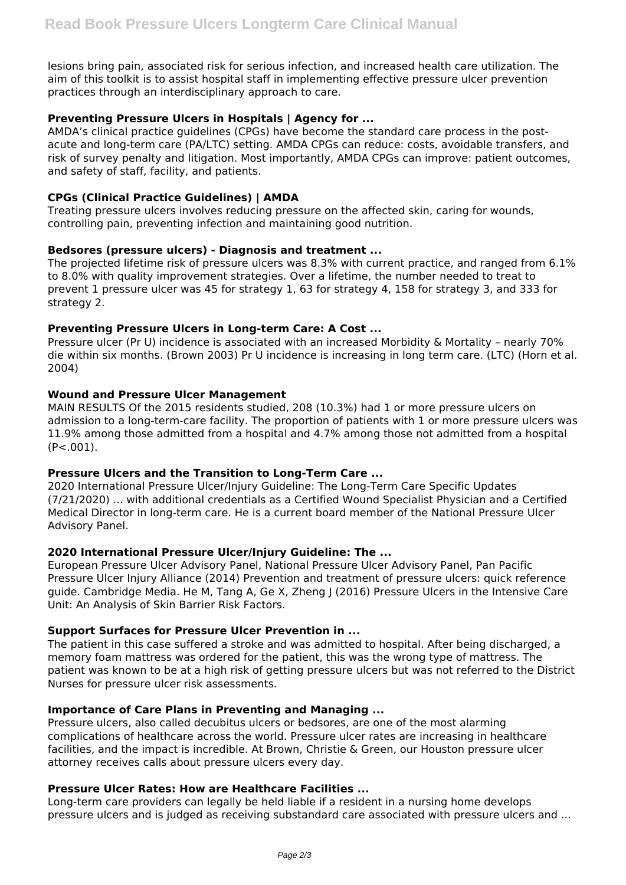lesions bring pain, associated risk for serious infection, and increased health care utilization. The aim of this toolkit is to assist hospital staff in implementing effective pressure ulcer prevention practices through an interdisciplinary approach to care.

# **Preventing Pressure Ulcers in Hospitals | Agency for ...**

AMDA's clinical practice guidelines (CPGs) have become the standard care process in the postacute and long-term care (PA/LTC) setting. AMDA CPGs can reduce: costs, avoidable transfers, and risk of survey penalty and litigation. Most importantly, AMDA CPGs can improve: patient outcomes, and safety of staff, facility, and patients.

# **CPGs (Clinical Practice Guidelines) | AMDA**

Treating pressure ulcers involves reducing pressure on the affected skin, caring for wounds, controlling pain, preventing infection and maintaining good nutrition.

# **Bedsores (pressure ulcers) - Diagnosis and treatment ...**

The projected lifetime risk of pressure ulcers was 8.3% with current practice, and ranged from 6.1% to 8.0% with quality improvement strategies. Over a lifetime, the number needed to treat to prevent 1 pressure ulcer was 45 for strategy 1, 63 for strategy 4, 158 for strategy 3, and 333 for strategy 2.

# **Preventing Pressure Ulcers in Long-term Care: A Cost ...**

Pressure ulcer (Pr U) incidence is associated with an increased Morbidity & Mortality – nearly 70% die within six months. (Brown 2003) Pr U incidence is increasing in long term care. (LTC) (Horn et al. 2004)

# **Wound and Pressure Ulcer Management**

MAIN RESULTS Of the 2015 residents studied, 208 (10.3%) had 1 or more pressure ulcers on admission to a long-term-care facility. The proportion of patients with 1 or more pressure ulcers was 11.9% among those admitted from a hospital and 4.7% among those not admitted from a hospital  $(P<.001)$ .

# **Pressure Ulcers and the Transition to Long-Term Care ...**

2020 International Pressure Ulcer/Injury Guideline: The Long-Term Care Specific Updates (7/21/2020) ... with additional credentials as a Certified Wound Specialist Physician and a Certified Medical Director in long-term care. He is a current board member of the National Pressure Ulcer Advisory Panel.

# **2020 International Pressure Ulcer/Injury Guideline: The ...**

European Pressure Ulcer Advisory Panel, National Pressure Ulcer Advisory Panel, Pan Pacific Pressure Ulcer Injury Alliance (2014) Prevention and treatment of pressure ulcers: quick reference guide. Cambridge Media. He M, Tang A, Ge X, Zheng J (2016) Pressure Ulcers in the Intensive Care Unit: An Analysis of Skin Barrier Risk Factors.

# **Support Surfaces for Pressure Ulcer Prevention in ...**

The patient in this case suffered a stroke and was admitted to hospital. After being discharged, a memory foam mattress was ordered for the patient, this was the wrong type of mattress. The patient was known to be at a high risk of getting pressure ulcers but was not referred to the District Nurses for pressure ulcer risk assessments.

# **Importance of Care Plans in Preventing and Managing ...**

Pressure ulcers, also called decubitus ulcers or bedsores, are one of the most alarming complications of healthcare across the world. Pressure ulcer rates are increasing in healthcare facilities, and the impact is incredible. At Brown, Christie & Green, our Houston pressure ulcer attorney receives calls about pressure ulcers every day.

# **Pressure Ulcer Rates: How are Healthcare Facilities ...**

Long-term care providers can legally be held liable if a resident in a nursing home develops pressure ulcers and is judged as receiving substandard care associated with pressure ulcers and ...